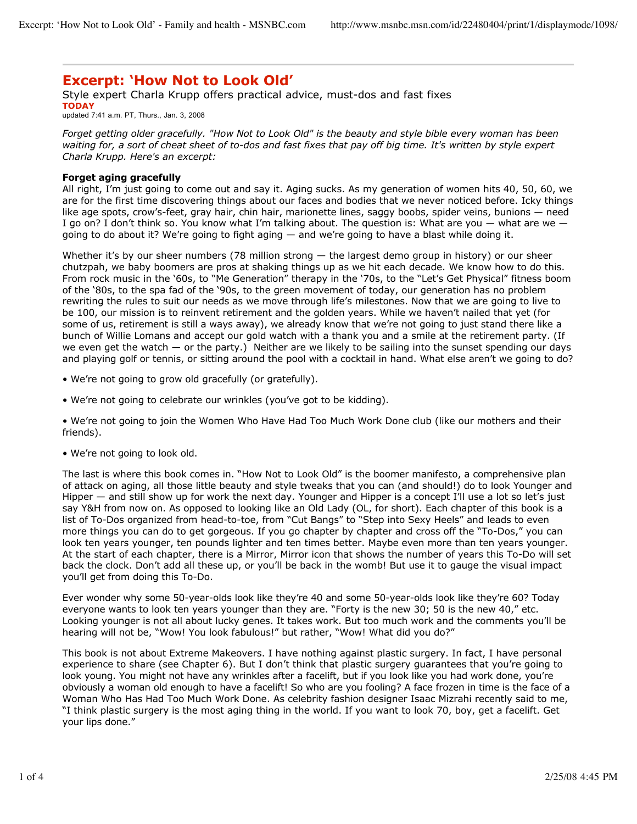## **Excerpt: 'How Not to Look Old'**

Style expert Charla Krupp offers practical advice, must-dos and fast fixes **TODAY** updated 7:41 a.m. PT, Thurs., Jan. 3, 2008

*Forget getting older gracefully. "How Not to Look Old" is the beauty and style bible every woman has been waiting for, a sort of cheat sheet of to-dos and fast fixes that pay off big time. It's written by style expert Charla Krupp. Here's an excerpt:*

## **Forget aging gracefully**

All right, I'm just going to come out and say it. Aging sucks. As my generation of women hits 40, 50, 60, we are for the first time discovering things about our faces and bodies that we never noticed before. Icky things like age spots, crow's-feet, gray hair, chin hair, marionette lines, saggy boobs, spider veins, bunions — need I go on? I don't think so. You know what I'm talking about. The question is: What are you — what are we going to do about it? We're going to fight aging — and we're going to have a blast while doing it.

Whether it's by our sheer numbers (78 million strong — the largest demo group in history) or our sheer chutzpah, we baby boomers are pros at shaking things up as we hit each decade. We know how to do this. From rock music in the '60s, to "Me Generation" therapy in the '70s, to the "Let's Get Physical" fitness boom of the '80s, to the spa fad of the '90s, to the green movement of today, our generation has no problem rewriting the rules to suit our needs as we move through life's milestones. Now that we are going to live to be 100, our mission is to reinvent retirement and the golden years. While we haven't nailed that yet (for some of us, retirement is still a ways away), we already know that we're not going to just stand there like a bunch of Willie Lomans and accept our gold watch with a thank you and a smile at the retirement party. (If we even get the watch  $-$  or the party.) Neither are we likely to be sailing into the sunset spending our days and playing golf or tennis, or sitting around the pool with a cocktail in hand. What else aren't we going to do?

- We're not going to grow old gracefully (or gratefully).
- We're not going to celebrate our wrinkles (you've got to be kidding).

• We're not going to join the Women Who Have Had Too Much Work Done club (like our mothers and their friends).

• We're not going to look old.

The last is where this book comes in. "How Not to Look Old" is the boomer manifesto, a comprehensive plan of attack on aging, all those little beauty and style tweaks that you can (and should!) do to look Younger and Hipper — and still show up for work the next day. Younger and Hipper is a concept I'll use a lot so let's just say Y&H from now on. As opposed to looking like an Old Lady (OL, for short). Each chapter of this book is a list of To-Dos organized from head-to-toe, from "Cut Bangs" to "Step into Sexy Heels" and leads to even more things you can do to get gorgeous. If you go chapter by chapter and cross off the "To-Dos," you can look ten years younger, ten pounds lighter and ten times better. Maybe even more than ten years younger. At the start of each chapter, there is a Mirror, Mirror icon that shows the number of years this To-Do will set back the clock. Don't add all these up, or you'll be back in the womb! But use it to gauge the visual impact you'll get from doing this To-Do.

Ever wonder why some 50-year-olds look like they're 40 and some 50-year-olds look like they're 60? Today everyone wants to look ten years younger than they are. "Forty is the new 30; 50 is the new 40," etc. Looking younger is not all about lucky genes. It takes work. But too much work and the comments you'll be hearing will not be, "Wow! You look fabulous!" but rather, "Wow! What did you do?"

This book is not about Extreme Makeovers. I have nothing against plastic surgery. In fact, I have personal experience to share (see Chapter 6). But I don't think that plastic surgery guarantees that you're going to look young. You might not have any wrinkles after a facelift, but if you look like you had work done, you're obviously a woman old enough to have a facelift! So who are you fooling? A face frozen in time is the face of a Woman Who Has Had Too Much Work Done. As celebrity fashion designer Isaac Mizrahi recently said to me, "I think plastic surgery is the most aging thing in the world. If you want to look 70, boy, get a facelift. Get your lips done."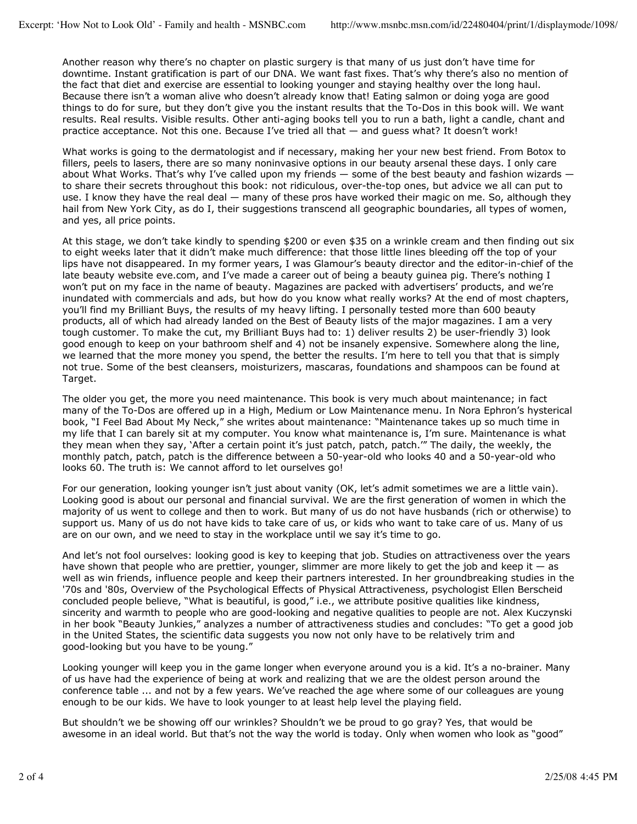Another reason why there's no chapter on plastic surgery is that many of us just don't have time for downtime. Instant gratification is part of our DNA. We want fast fixes. That's why there's also no mention of the fact that diet and exercise are essential to looking younger and staying healthy over the long haul. Because there isn't a woman alive who doesn't already know that! Eating salmon or doing yoga are good things to do for sure, but they don't give you the instant results that the To-Dos in this book will. We want results. Real results. Visible results. Other anti-aging books tell you to run a bath, light a candle, chant and practice acceptance. Not this one. Because I've tried all that — and guess what? It doesn't work!

What works is going to the dermatologist and if necessary, making her your new best friend. From Botox to fillers, peels to lasers, there are so many noninvasive options in our beauty arsenal these days. I only care about What Works. That's why I've called upon my friends  $-$  some of the best beauty and fashion wizards  $\cdot$ to share their secrets throughout this book: not ridiculous, over-the-top ones, but advice we all can put to use. I know they have the real deal — many of these pros have worked their magic on me. So, although they hail from New York City, as do I, their suggestions transcend all geographic boundaries, all types of women, and yes, all price points.

At this stage, we don't take kindly to spending \$200 or even \$35 on a wrinkle cream and then finding out six to eight weeks later that it didn't make much difference: that those little lines bleeding off the top of your lips have not disappeared. In my former years, I was Glamour's beauty director and the editor-in-chief of the late beauty website eve.com, and I've made a career out of being a beauty guinea pig. There's nothing I won't put on my face in the name of beauty. Magazines are packed with advertisers' products, and we're inundated with commercials and ads, but how do you know what really works? At the end of most chapters, you'll find my Brilliant Buys, the results of my heavy lifting. I personally tested more than 600 beauty products, all of which had already landed on the Best of Beauty lists of the major magazines. I am a very tough customer. To make the cut, my Brilliant Buys had to: 1) deliver results 2) be user-friendly 3) look good enough to keep on your bathroom shelf and 4) not be insanely expensive. Somewhere along the line, we learned that the more money you spend, the better the results. I'm here to tell you that that is simply not true. Some of the best cleansers, moisturizers, mascaras, foundations and shampoos can be found at Target.

The older you get, the more you need maintenance. This book is very much about maintenance; in fact many of the To-Dos are offered up in a High, Medium or Low Maintenance menu. In Nora Ephron's hysterical book, "I Feel Bad About My Neck," she writes about maintenance: "Maintenance takes up so much time in my life that I can barely sit at my computer. You know what maintenance is, I'm sure. Maintenance is what they mean when they say, 'After a certain point it's just patch, patch, patch.'" The daily, the weekly, the monthly patch, patch, patch is the difference between a 50-year-old who looks 40 and a 50-year-old who looks 60. The truth is: We cannot afford to let ourselves go!

For our generation, looking younger isn't just about vanity (OK, let's admit sometimes we are a little vain). Looking good is about our personal and financial survival. We are the first generation of women in which the majority of us went to college and then to work. But many of us do not have husbands (rich or otherwise) to support us. Many of us do not have kids to take care of us, or kids who want to take care of us. Many of us are on our own, and we need to stay in the workplace until we say it's time to go.

And let's not fool ourselves: looking good is key to keeping that job. Studies on attractiveness over the years have shown that people who are prettier, younger, slimmer are more likely to get the job and keep it - as well as win friends, influence people and keep their partners interested. In her groundbreaking studies in the '70s and '80s, Overview of the Psychological Effects of Physical Attractiveness, psychologist Ellen Berscheid concluded people believe, "What is beautiful, is good," i.e., we attribute positive qualities like kindness, sincerity and warmth to people who are good-looking and negative qualities to people are not. Alex Kuczynski in her book "Beauty Junkies," analyzes a number of attractiveness studies and concludes: "To get a good job in the United States, the scientific data suggests you now not only have to be relatively trim and good-looking but you have to be young."

Looking younger will keep you in the game longer when everyone around you is a kid. It's a no-brainer. Many of us have had the experience of being at work and realizing that we are the oldest person around the conference table ... and not by a few years. We've reached the age where some of our colleagues are young enough to be our kids. We have to look younger to at least help level the playing field.

But shouldn't we be showing off our wrinkles? Shouldn't we be proud to go gray? Yes, that would be awesome in an ideal world. But that's not the way the world is today. Only when women who look as "good"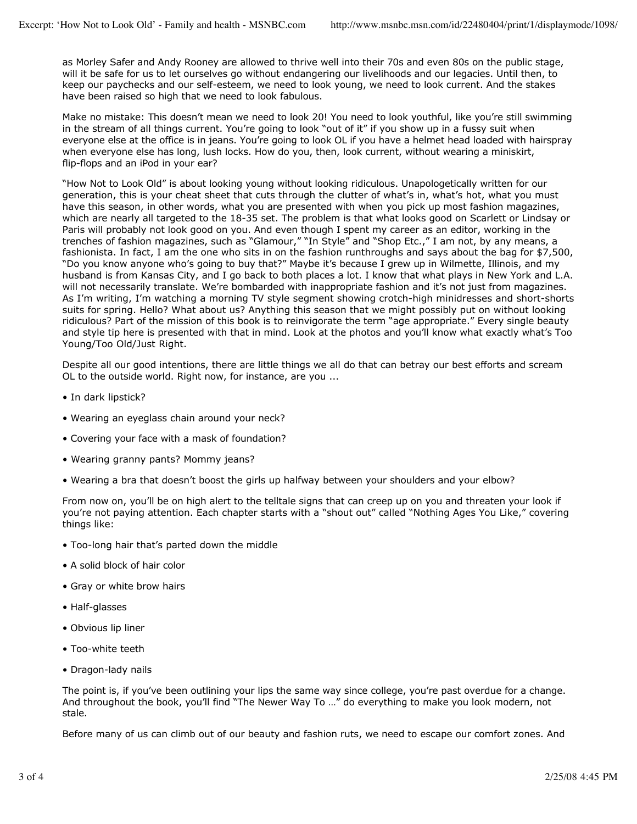as Morley Safer and Andy Rooney are allowed to thrive well into their 70s and even 80s on the public stage, will it be safe for us to let ourselves go without endangering our livelihoods and our legacies. Until then, to keep our paychecks and our self-esteem, we need to look young, we need to look current. And the stakes have been raised so high that we need to look fabulous.

Make no mistake: This doesn't mean we need to look 20! You need to look youthful, like you're still swimming in the stream of all things current. You're going to look "out of it" if you show up in a fussy suit when everyone else at the office is in jeans. You're going to look OL if you have a helmet head loaded with hairspray when everyone else has long, lush locks. How do you, then, look current, without wearing a miniskirt, flip-flops and an iPod in your ear?

"How Not to Look Old" is about looking young without looking ridiculous. Unapologetically written for our generation, this is your cheat sheet that cuts through the clutter of what's in, what's hot, what you must have this season, in other words, what you are presented with when you pick up most fashion magazines, which are nearly all targeted to the 18-35 set. The problem is that what looks good on Scarlett or Lindsay or Paris will probably not look good on you. And even though I spent my career as an editor, working in the trenches of fashion magazines, such as "Glamour," "In Style" and "Shop Etc.," I am not, by any means, a fashionista. In fact, I am the one who sits in on the fashion runthroughs and says about the bag for \$7,500, "Do you know anyone who's going to buy that?" Maybe it's because I grew up in Wilmette, Illinois, and my husband is from Kansas City, and I go back to both places a lot. I know that what plays in New York and L.A. will not necessarily translate. We're bombarded with inappropriate fashion and it's not just from magazines. As I'm writing, I'm watching a morning TV style segment showing crotch-high minidresses and short-shorts suits for spring. Hello? What about us? Anything this season that we might possibly put on without looking ridiculous? Part of the mission of this book is to reinvigorate the term "age appropriate." Every single beauty and style tip here is presented with that in mind. Look at the photos and you'll know what exactly what's Too Young/Too Old/Just Right.

Despite all our good intentions, there are little things we all do that can betray our best efforts and scream OL to the outside world. Right now, for instance, are you ...

- In dark lipstick?
- Wearing an eyeglass chain around your neck?
- Covering your face with a mask of foundation?
- Wearing granny pants? Mommy jeans?
- Wearing a bra that doesn't boost the girls up halfway between your shoulders and your elbow?

From now on, you'll be on high alert to the telltale signs that can creep up on you and threaten your look if you're not paying attention. Each chapter starts with a "shout out" called "Nothing Ages You Like," covering things like:

- Too-long hair that's parted down the middle
- A solid block of hair color
- Gray or white brow hairs
- Half-glasses
- Obvious lip liner
- Too-white teeth
- Dragon-lady nails

The point is, if you've been outlining your lips the same way since college, you're past overdue for a change. And throughout the book, you'll find "The Newer Way To …" do everything to make you look modern, not stale.

Before many of us can climb out of our beauty and fashion ruts, we need to escape our comfort zones. And